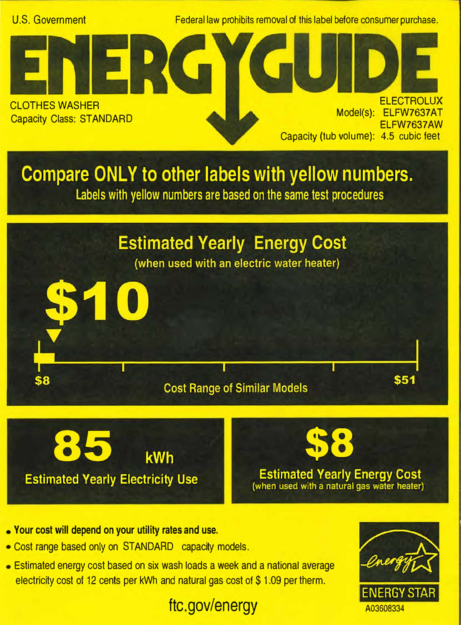

- **• Your cost will depend on your utility rates and use.**
- Cost range based only on STANDARD capacity models.
- Estimated energy cost based on six wash loads a week and a national average electricity cost of 12 cents per kWh and natural gas cost of \$1.09 per therm.

## ftc.gov/energy